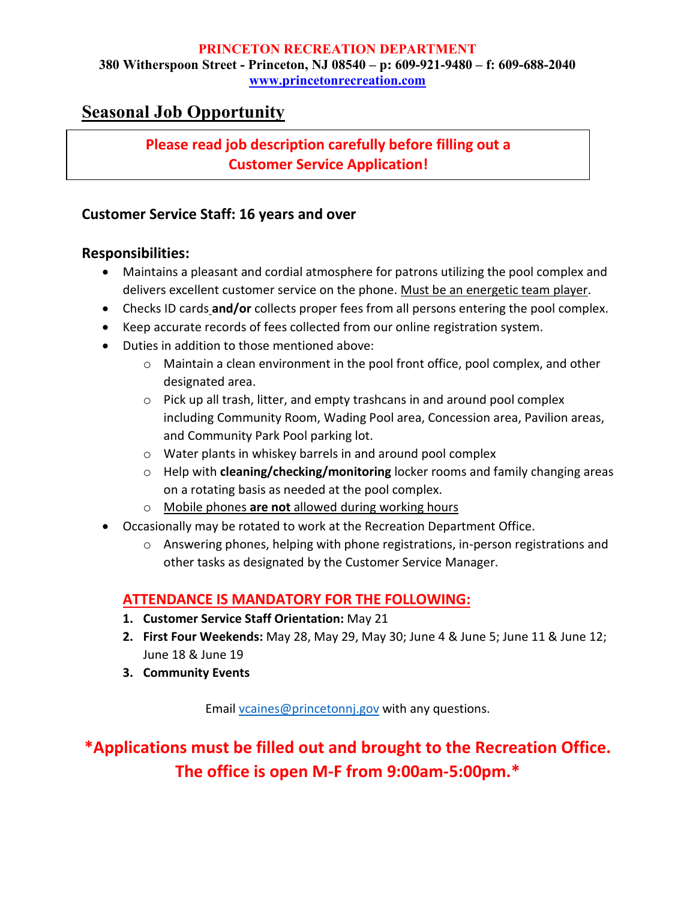#### **PRINCETON RECREATION DEPARTMENT 380 Witherspoon Street - Princeton, NJ 08540 – p: 609-921-9480 – f: 609-688-2040 [www.princetonrecreation.com](http://www.princetonrecreation.com/)**

### **Seasonal Job Opportunity**

#### **Please read job description carefully before filling out a Customer Service Application!**

#### **Customer Service Staff: 16 years and over**

#### **Responsibilities:**

- Maintains a pleasant and cordial atmosphere for patrons utilizing the pool complex and delivers excellent customer service on the phone. Must be an energetic team player.
- Checks ID cards and/or collects proper fees from all persons entering the pool complex.
- Keep accurate records of fees collected from our online registration system.
- Duties in addition to those mentioned above:
	- $\circ$  Maintain a clean environment in the pool front office, pool complex, and other designated area.
	- o Pick up all trash, litter, and empty trashcans in and around pool complex including Community Room, Wading Pool area, Concession area, Pavilion areas, and Community Park Pool parking lot.
	- o Water plants in whiskey barrels in and around pool complex
	- o Help with **cleaning/checking/monitoring** locker rooms and family changing areas on a rotating basis as needed at the pool complex.
	- o Mobile phones **are not** allowed during working hours
- Occasionally may be rotated to work at the Recreation Department Office.
	- $\circ$  Answering phones, helping with phone registrations, in-person registrations and other tasks as designated by the Customer Service Manager.

#### **ATTENDANCE IS MANDATORY FOR THE FOLLOWING:**

- **1. Customer Service Staff Orientation:** May 21
- **2. First Four Weekends:** May 28, May 29, May 30; June 4 & June 5; June 11 & June 12; June 18 & June 19
- **3. Community Events**

Email [vcaines@princetonnj.gov](mailto:vcaines@princetonnj.gov) with any questions.

**\*Applications must be filled out and brought to the Recreation Office. The office is open M-F from 9:00am-5:00pm.\***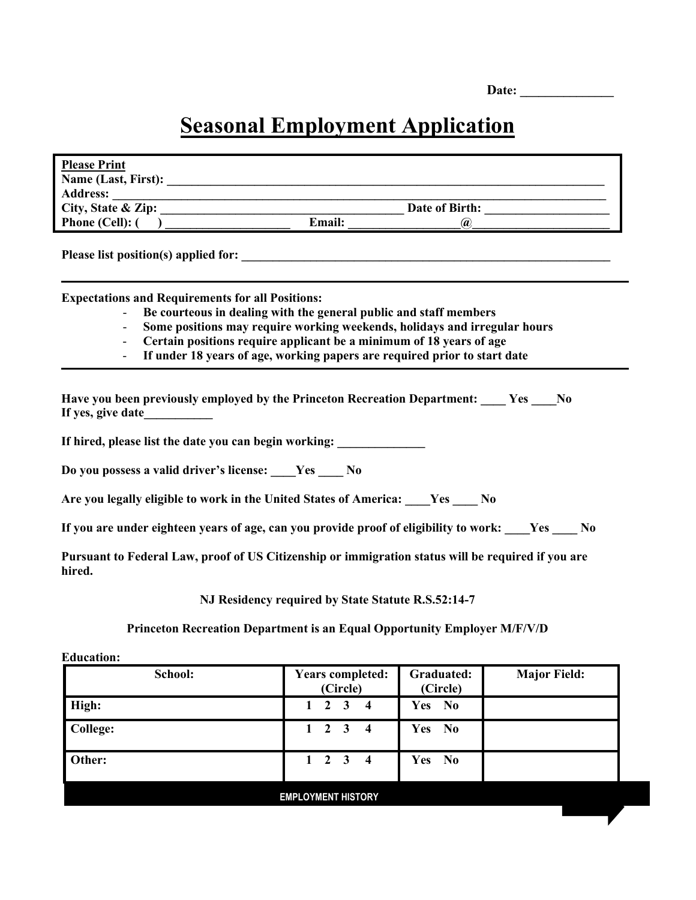| Date: |
|-------|
|-------|

## **Seasonal Employment Application**

| <b>Please Print</b>                                                                                                                                                                                                                                                                                                                                           |
|---------------------------------------------------------------------------------------------------------------------------------------------------------------------------------------------------------------------------------------------------------------------------------------------------------------------------------------------------------------|
|                                                                                                                                                                                                                                                                                                                                                               |
|                                                                                                                                                                                                                                                                                                                                                               |
| City, State & Zip:<br>Phone (Cell): ( )<br>Channel Cell): ( )<br>Channel Cell ( )<br>Channel Cell ( )<br>Channel Cell ( )<br>Channel Cell ( )<br>Channel Cell ( )<br>Channel Cell ( )<br>Channel Cell ( )<br>Channel Cell ( )<br>Channel Cell ( )<br>C                                                                                                        |
|                                                                                                                                                                                                                                                                                                                                                               |
|                                                                                                                                                                                                                                                                                                                                                               |
| Please list position(s) applied for:                                                                                                                                                                                                                                                                                                                          |
| <b>Expectations and Requirements for all Positions:</b><br>Be courteous in dealing with the general public and staff members<br>Some positions may require working weekends, holidays and irregular hours<br>Certain positions require applicant be a minimum of 18 years of age<br>If under 18 years of age, working papers are required prior to start date |
| Have you been previously employed by the Princeton Recreation Department: Yes No<br>If yes, give date<br>If hired, please list the date you can begin working:                                                                                                                                                                                                |
| Do you possess a valid driver's license: Yes No                                                                                                                                                                                                                                                                                                               |
| Are you legally eligible to work in the United States of America: Ves ____ No                                                                                                                                                                                                                                                                                 |
| If you are under eighteen years of age, can you provide proof of eligibility to work: ___Yes ___ No                                                                                                                                                                                                                                                           |
| Pursuant to Federal Law, proof of US Citizenship or immigration status will be required if you are<br>hired.                                                                                                                                                                                                                                                  |
| NJ Residency required by State Statute R.S.52:14-7                                                                                                                                                                                                                                                                                                            |
| Princeton Recreation Department is an Equal Opportunity Employer M/F/V/D                                                                                                                                                                                                                                                                                      |

**Education:**

| School:                   | <b>Years completed:</b><br>(Circle)                       | Graduated:<br>(Circle) | <b>Major Field:</b> |  |
|---------------------------|-----------------------------------------------------------|------------------------|---------------------|--|
| High:                     | $1\quad 2$<br>$\overline{\mathbf{3}}$<br>$\boldsymbol{4}$ | Yes No                 |                     |  |
| <b>College:</b>           | $1 \quad 2 \quad 3 \quad 4$                               | Yes No                 |                     |  |
| Other:                    | $1 \quad 2 \quad 3 \quad 4$                               | Yes No                 |                     |  |
| <b>EMPLOYMENT HISTORY</b> |                                                           |                        |                     |  |